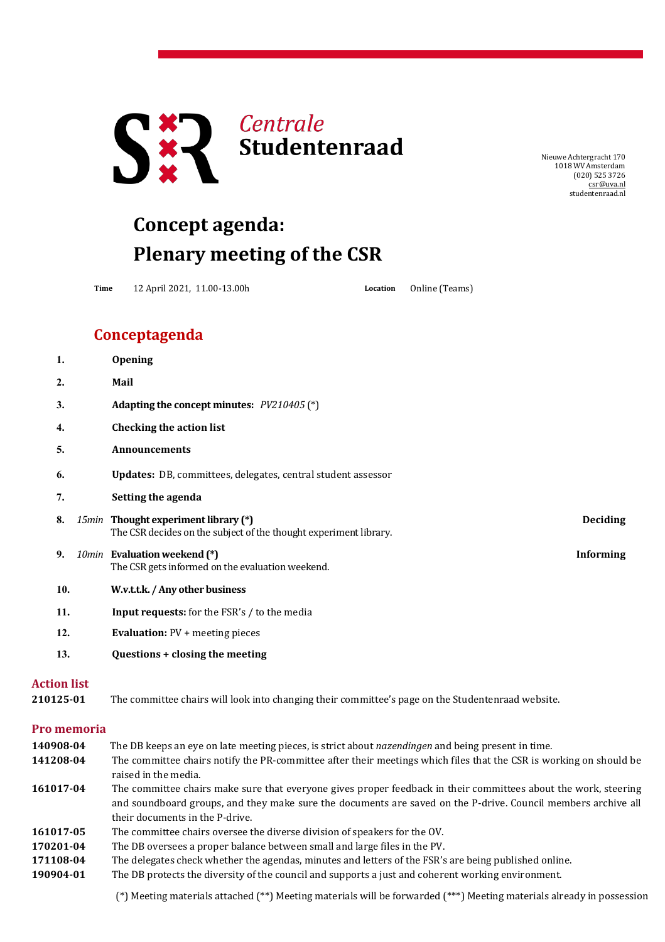

NieuweAchtergracht 170 1018 WV Amsterdam (020) 525 3726 [csr@uva.nl](mailto:csr@uva.nl) studentenraad.nl

## **Concept agenda: Plenary meeting of the CSR**

**Time** 12 April 2021, 11.00-13.00h **Location** Online (Teams)

## **Conceptagenda**

|                                 | 1.  |             | <b>Opening</b>                                                                                                                                                                                                                                                      |                  |  |
|---------------------------------|-----|-------------|---------------------------------------------------------------------------------------------------------------------------------------------------------------------------------------------------------------------------------------------------------------------|------------------|--|
|                                 | 2.  |             | Mail                                                                                                                                                                                                                                                                |                  |  |
|                                 | 3.  |             | Adapting the concept minutes: PV210405 (*)                                                                                                                                                                                                                          |                  |  |
|                                 | 4.  |             | <b>Checking the action list</b>                                                                                                                                                                                                                                     |                  |  |
|                                 | 5.  |             | Announcements                                                                                                                                                                                                                                                       |                  |  |
|                                 | 6.  |             | Updates: DB, committees, delegates, central student assessor                                                                                                                                                                                                        |                  |  |
|                                 | 7.  |             | Setting the agenda                                                                                                                                                                                                                                                  |                  |  |
|                                 | 8.  |             | 15min Thought experiment library (*)<br>The CSR decides on the subject of the thought experiment library.                                                                                                                                                           | <b>Deciding</b>  |  |
|                                 | 9.  |             | 10min Evaluation weekend (*)<br>The CSR gets informed on the evaluation weekend.                                                                                                                                                                                    | <b>Informing</b> |  |
|                                 | 10. |             | W.v.t.t.k. / Any other business                                                                                                                                                                                                                                     |                  |  |
|                                 | 11. |             | Input requests: for the FSR's / to the media                                                                                                                                                                                                                        |                  |  |
|                                 | 12. |             | <b>Evaluation:</b> PV + meeting pieces                                                                                                                                                                                                                              |                  |  |
|                                 | 13. |             | Questions + closing the meeting                                                                                                                                                                                                                                     |                  |  |
| <b>Action list</b><br>210125-01 |     |             | The committee chairs will look into changing their committee's page on the Studentenraad website.                                                                                                                                                                   |                  |  |
|                                 |     | Pro memoria |                                                                                                                                                                                                                                                                     |                  |  |
| 140908-04<br>141208-04          |     |             | The DB keeps an eye on late meeting pieces, is strict about nazendingen and being present in time.<br>The committee chairs notify the PR-committee after their meetings which files that the CSR is working on should be<br>raised in the media.                    |                  |  |
| 161017-04                       |     |             | The committee chairs make sure that everyone gives proper feedback in their committees about the work, steering<br>and soundboard groups, and they make sure the documents are saved on the P-drive. Council members archive all<br>their documents in the P-drive. |                  |  |
| 161017-05                       |     |             | The committee chairs oversee the diverse division of speakers for the OV.                                                                                                                                                                                           |                  |  |
| 170201-04                       |     |             | The DB oversees a proper balance between small and large files in the PV.                                                                                                                                                                                           |                  |  |
| 171108-04                       |     |             | The delegates check whether the agendas, minutes and letters of the FSR's are being published online.                                                                                                                                                               |                  |  |

**190904-01** The DB protects the diversity of the council and supports a just and coherent working environment.

(\*) Meeting materials attached (\*\*) Meeting materials will be forwarded (\*\*\*) Meeting materials already in possession